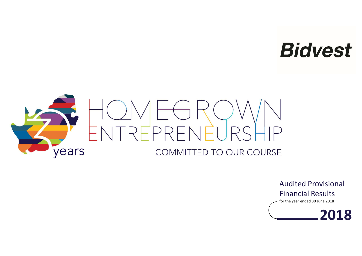# **Bidvest**



Audited Provisional Financial Results

for the year ended 30 June 2018

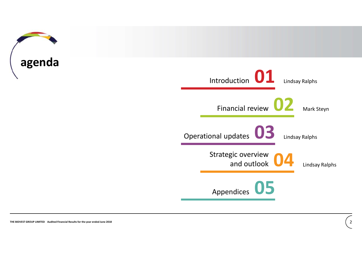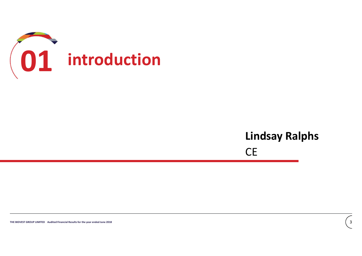

# $Lindsay Ralphs$ <br> $CE$   $\frac{1}{3}$ Lindsay Ralphs

CE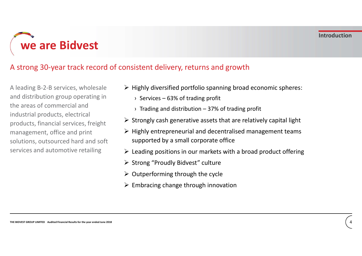we are Bidvest

## A strong 30-year track record of consistent delivery, returns and growth

Industrial products, electrical<br>
management, office and print<br>
management, office and print<br>  $\triangleright$  Highly entrepreneurial and decentralised management teams<br>
solutions, outsourced hard and soft<br>
supported by a small corp A leading B-2-B services, wholesale and distribution group operating in <br>
x Services – 63% of trading profit the areas of commercial and industrial products, electrical products, financial services, freight management, office and print solutions, outsourced hard and soft services and automotive retailing

- $\triangleright$  Highly diversified portfolio spanning broad economic spheres:
	-
	-
- Substratting the state of the state of the state of the state of the state of the state of trading profit<br>In the state of trading profit<br>In trading and distribution 37% of trading profit<br>Introngly cash generative assets  $\triangleright$  Strongly cash generative assets that are relatively capital light
- **Introduction 19 All Start Controls (The Start Controls)**<br>
Introduction<br>
Introduction 37% of trading profit<br>
Intervention 37% of trading profit<br>
Intervention 37% of trading profit<br>
Intervention 37% of trading pro  $\triangleright$  Highly entrepreneurial and decentralised management teams supported by a small corporate office
- $\triangleright$  Leading positions in our markets with a broad product offering
- ▶ Strong "Proudly Bidvest" culture
- $\triangleright$  Outperforming through the cycle
- $\triangleright$  Embracing change through innovation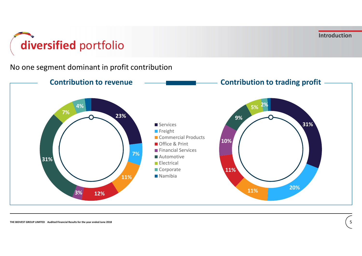Introduction

# diversified portfolio

No one segment dominant in profit contribution

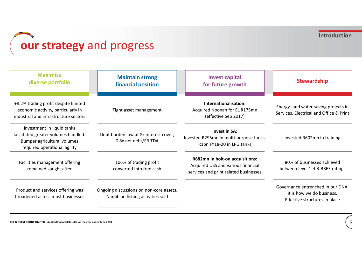# **Cour strategy** and progress

| our strategy and progress                                                                                                         |                                                                             |                                                                                                                | <b>Introduction</b>                                                                             |
|-----------------------------------------------------------------------------------------------------------------------------------|-----------------------------------------------------------------------------|----------------------------------------------------------------------------------------------------------------|-------------------------------------------------------------------------------------------------|
| <b>Maximise</b><br>diverse portfolio                                                                                              | <b>Maintain strong</b><br>financial position                                | <b>Invest capital</b><br>for future growth                                                                     | <b>Stewardship</b>                                                                              |
| +8.2% trading profit despite limited<br>economic activity, particularly in<br>industrial and infrastructure sectors               | Tight asset management                                                      | Internationalisation:<br>Acquired Noonan for EUR175mn<br>(effective Sep 2017)                                  | Energy- and water-saving projects in<br>Services, Electrical and Office & Print                 |
| Investment in liquid tanks<br>facilitated greater volumes handled.<br>Bumper agricultural volumes<br>required operational agility | Debt burden low at 8x interest cover;<br>0.8x net debt/EBITDA               | <b>Invest in SA:</b><br>Invested R295mn in multi-purpose tanks.<br>R1bn FY18-20 in LPG tanks                   | Invested R602mn in training                                                                     |
| Facilities management offering<br>remained sought after                                                                           | 106% of trading profit<br>converted into free cash                          | R682mn in bolt-on acquisitions:<br>Acquired USS and various financial<br>services and print related businesses | 80% of businesses achieved<br>between level 1-4 B-BBEE ratings                                  |
| Product and services offering was<br>broadened across most businesses                                                             | Ongoing discussions on non-core assets.<br>Namibian fishing activities sold |                                                                                                                | Governance entrenched in our DNA,<br>it is how we do business.<br>Effective structures in place |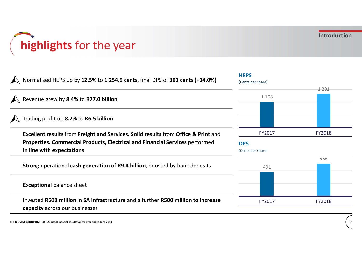# highlights for the year

| highlights for the year                                                                                                                                                                         |                                           | <b>Introduction</b> |
|-------------------------------------------------------------------------------------------------------------------------------------------------------------------------------------------------|-------------------------------------------|---------------------|
| Normalised HEPS up by 12.5% to 1 254.9 cents, final DPS of 301 cents (+14.0%)                                                                                                                   | <b>HEPS</b><br>(Cents per share)          | 1 2 3 1             |
| Revenue grew by 8.4% to R77.0 billion                                                                                                                                                           | 1 1 0 8                                   |                     |
| Trading profit up 8.2% to R6.5 billion                                                                                                                                                          |                                           |                     |
| Excellent results from Freight and Services. Solid results from Office & Print and<br>Properties. Commercial Products, Electrical and Financial Services performed<br>in line with expectations | FY2017<br><b>DPS</b><br>(Cents per share) | FY2018              |
| Strong operational cash generation of R9.4 billion, boosted by bank deposits                                                                                                                    | 491                                       | 556                 |
| <b>Exceptional balance sheet</b>                                                                                                                                                                |                                           |                     |
| Invested R500 million in SA infrastructure and a further R500 million to increase<br>capacity across our businesses                                                                             | FY2017                                    | FY2018              |
| THE BIDVEST GROUP LIMITED Audited Financial Results for the year ended June 2018                                                                                                                |                                           |                     |
|                                                                                                                                                                                                 |                                           |                     |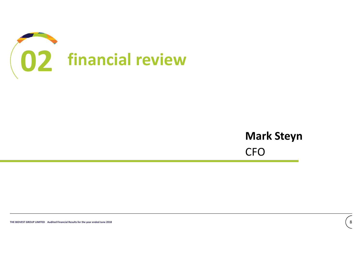

# Mark Steyn<br>CFO Mark Steyn CFO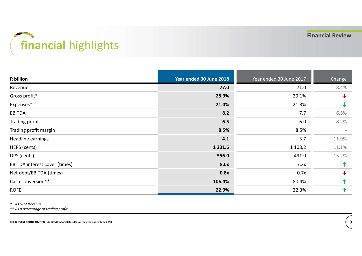# financial highlights

| financial highlights          |                         | <b>Financial Review</b> |              |  |  |  |
|-------------------------------|-------------------------|-------------------------|--------------|--|--|--|
| <b>R</b> billion              | Year ended 30 June 2018 | Year ended 30 June 2017 | Change       |  |  |  |
| Revenue                       | 77.0                    | 71.0                    | 8.4%         |  |  |  |
| Gross profit*                 | 28.9%                   | 29.1%                   | $\downarrow$ |  |  |  |
| Expenses*                     | 21.0%                   | 21.3%                   | $\downarrow$ |  |  |  |
| EBITDA                        | 8.2                     | 7.7                     | 6.5%         |  |  |  |
| <b>Trading profit</b>         | 6.5                     | $6.0\,$                 | 8.2%         |  |  |  |
| Trading profit margin         | 8.5%                    | 8.5%                    |              |  |  |  |
| Headline earnings             | 4.1                     | 3.7                     | 11.9%        |  |  |  |
| HEPS (cents)                  | 1 2 3 1 . 6             | 1 1 0 8 . 2             | 11.1%        |  |  |  |
| DPS (cents)                   | 556.0                   | 491.0                   | 13.2%        |  |  |  |
| EBITDA interest cover (times) | 8.0x                    | 7.2x                    | $\bigwedge$  |  |  |  |
| Net debt/EBITDA (times)       | 0.8x                    | 0.7x                    | $\downarrow$ |  |  |  |
| Cash conversion**             | 106.4%                  | 80.4%                   | 个            |  |  |  |
|                               | 22.9%                   | 22.3%                   | 个            |  |  |  |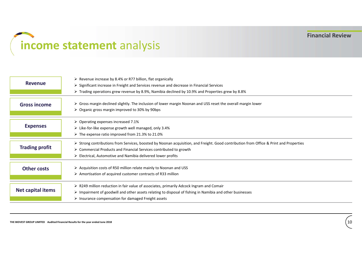# income statement analysis

| <b>Revenue</b>                                                                   | ▶ Revenue increase by 8.4% or R77 billion, flat organically<br>$\triangleright$ Significant increase in Freight and Services revenue and decrease in Financial Services<br>≻ Trading operations grew revenue by 8.9%, Namibia declined by 10.9% and Properties grew by 8.8%                                |      |
|----------------------------------------------------------------------------------|------------------------------------------------------------------------------------------------------------------------------------------------------------------------------------------------------------------------------------------------------------------------------------------------------------|------|
| <b>Gross income</b>                                                              | > Gross margin declined slightly. The inclusion of lower margin Noonan and USS reset the overall margin lower<br>$\triangleright$ Organic gross margin improved to 30% by 90bps                                                                                                                            |      |
| <b>Expenses</b>                                                                  | $\triangleright$ Operating expenses increased 7.1%<br>> Like-for-like expense growth well managed, only 3.4%<br>> The expense ratio improved from 21.3% to 21.0%                                                                                                                                           |      |
| <b>Trading profit</b>                                                            | ▶ Strong contributions from Services, boosted by Noonan acquisition, and Freight. Good contribution from Office & Print and Properties<br>$\triangleright$ Commercial Products and Financial Services contributed to growth<br>$\triangleright$ Electrical, Automotive and Namibia delivered lower profits |      |
| <b>Other costs</b>                                                               | $\triangleright$ Acquisition costs of R50 million relate mainly to Noonan and USS<br>$\triangleright$ Amortisation of acquired customer contracts of R33 million                                                                                                                                           |      |
| Net capital items                                                                | > R249 million reduction in fair value of associates, primarily Adcock Ingram and Comair<br>> Impairment of goodwill and other assets relating to disposal of fishing in Namibia and other businesses<br>$\triangleright$ Insurance compensation for damaged Freight assets                                |      |
| THE BIDVEST GROUP LIMITED Audited Financial Results for the year ended June 2018 |                                                                                                                                                                                                                                                                                                            | $10$ |
|                                                                                  |                                                                                                                                                                                                                                                                                                            |      |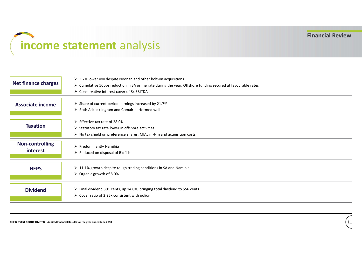# income statement analysis

| <b>Net finance charges</b>                                                       | $\triangleright$ 3.7% lower yoy despite Noonan and other bolt-on acquisitions<br>> Cumulative 50bps reduction in SA prime rate during the year. Offshore funding secured at favourable rates<br>> Conservative interest cover of 8x EBITDA |
|----------------------------------------------------------------------------------|--------------------------------------------------------------------------------------------------------------------------------------------------------------------------------------------------------------------------------------------|
| <b>Associate income</b>                                                          | > Share of current period earnings increased by 21.7%<br>> Both Adcock Ingram and Comair performed well                                                                                                                                    |
| <b>Taxation</b>                                                                  | ▶ Effective tax rate of 28.0%<br>> Statutory tax rate lower in offshore activities<br>> No tax shield on preference shares, MIAL m-t-m and acquisition costs                                                                               |
| <b>Non-controlling</b><br>interest                                               | $\triangleright$ Predominantly Namibia<br>$\triangleright$ Reduced on disposal of Bidfish                                                                                                                                                  |
| <b>HEPS</b>                                                                      | $\triangleright$ 11.1% growth despite tough trading conditions in SA and Namibia<br>$\triangleright$ Organic growth of 8.0%                                                                                                                |
| <b>Dividend</b>                                                                  | > Final dividend 301 cents, up 14.0%, bringing total dividend to 556 cents<br>$\triangleright$ Cover ratio of 2.25x consistent with policy                                                                                                 |
| THE BIDVEST GROUP LIMITED Audited Financial Results for the year ended June 2018 | 11                                                                                                                                                                                                                                         |
|                                                                                  |                                                                                                                                                                                                                                            |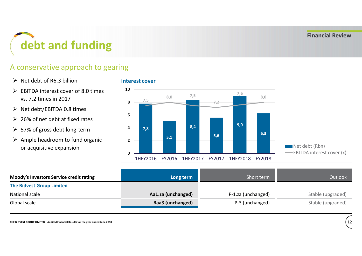

## A conservative approach to gearing

 $\triangleright$  Net debt of R6.3 billion

- Interest cover
- $\triangleright$  EBITDA interest cover of 8.0 times  $10$ vs. 7.2 times in 2017
- Net debt/EBITDA 0.8 times
- $\geq 26\%$  of net debt at fixed rates
- 
- $\triangleright$  Ample headroom to fund organic or acquisitive expansion



| $\geq$ 26% of net debt at fixed rates<br>$\triangleright$ 57% of gross debt long-term<br>$\triangleright$ Ample headroom to fund organic<br>or acquisitive expansion | 6<br>8,4<br>4<br>7,8<br>5,1<br>$\overline{2}$<br>ŋ<br>1HFY2016<br>FY2016<br>1HFY2017 | 9,0<br>6,3<br>5,6<br>1HFY2018<br>FY2018<br>FY2017 | Net debt (Rbn)<br>-BITDA interest cover (x) |
|----------------------------------------------------------------------------------------------------------------------------------------------------------------------|--------------------------------------------------------------------------------------|---------------------------------------------------|---------------------------------------------|
| Moody's Investors Service credit rating                                                                                                                              | Long term                                                                            | Short term                                        | Outlook                                     |
| <b>The Bidvest Group Limited</b>                                                                                                                                     |                                                                                      |                                                   |                                             |
| National scale                                                                                                                                                       | Aa1.za (unchanged)                                                                   | P-1.za (unchanged)                                | Stable (upgraded)                           |
| Global scale                                                                                                                                                         | Baa3 (unchanged)                                                                     | P-3 (unchanged)                                   | Stable (upgraded)                           |
| THE BIDVEST GROUP LIMITED Audited Financial Results for the year ended June 2018                                                                                     |                                                                                      |                                                   | $\frac{12}{2}$                              |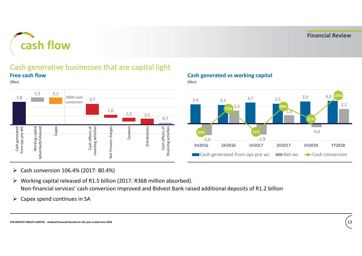

### Cash generative businesses that are capital light Free cash flow





### Cash generated vs working capital

(Rbn)



- Cash conversion 106.4% (2017: 80.4%)
- Working capital released of R1.5 billion (2017: R368 million absorbed). Non-financial services' cash conversion improved and Bidvest Bank raised additional deposits of R1.2 billion
- $\triangleright$  Capex spend continues in SA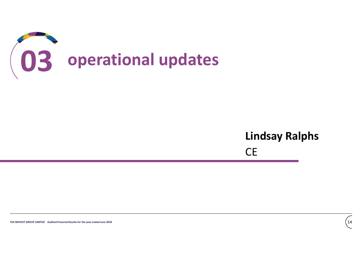

# $Lindsay Ralphs$ <br> $CE$  ( $\frac{1}{4}$ Lindsay Ralphs

CE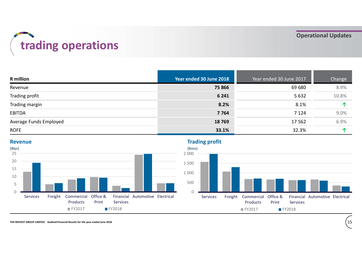# trading operations

| trading operations     |                         |                         | <b>Operational Updates</b> |
|------------------------|-------------------------|-------------------------|----------------------------|
|                        |                         |                         |                            |
| <b>R</b> million       | Year ended 30 June 2018 | Year ended 30 June 2017 | Change                     |
| Revenue                | 75 866                  | 69 680                  | 8.9%                       |
| Trading profit         | 6 2 4 1                 | 5 6 3 2                 | 10.8%                      |
| Trading margin         | 8.2%                    | 8.1%                    | $\uparrow$                 |
| <b>EBITDA</b>          | 7 7 6 4                 | 7 1 2 4                 | 9.0%                       |
| Average Funds Employed | 18769                   | 17562                   | 6.9%                       |



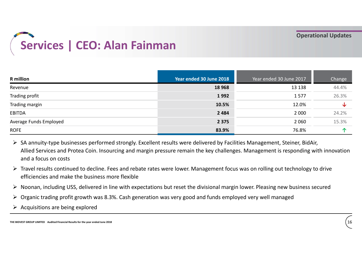

| Year ended 30 June 2018<br>Year ended 30 June 2017<br><b>R</b> million<br>Change<br>18 9 68<br>13 138<br>44.4%<br>1992<br>1577<br>26.3%<br>10.5%<br>12.0%<br>↓<br>2 4 8 4<br>2 0 0 0<br>24.2%                                                                                                                                                                                                                                                                                                                                                                                                                            |
|--------------------------------------------------------------------------------------------------------------------------------------------------------------------------------------------------------------------------------------------------------------------------------------------------------------------------------------------------------------------------------------------------------------------------------------------------------------------------------------------------------------------------------------------------------------------------------------------------------------------------|
| Revenue<br>Trading profit<br>Trading margin                                                                                                                                                                                                                                                                                                                                                                                                                                                                                                                                                                              |
| <b>EBITDA</b>                                                                                                                                                                                                                                                                                                                                                                                                                                                                                                                                                                                                            |
|                                                                                                                                                                                                                                                                                                                                                                                                                                                                                                                                                                                                                          |
|                                                                                                                                                                                                                                                                                                                                                                                                                                                                                                                                                                                                                          |
|                                                                                                                                                                                                                                                                                                                                                                                                                                                                                                                                                                                                                          |
| Average Funds Employed<br>2 3 7 5<br>2 0 6 0<br>15.3%                                                                                                                                                                                                                                                                                                                                                                                                                                                                                                                                                                    |
| 83.9%<br>个<br><b>ROFE</b><br>76.8%                                                                                                                                                                                                                                                                                                                                                                                                                                                                                                                                                                                       |
| > SA annuity-type businesses performed strongly. Excellent results were delivered by Facilities Management, Steiner, BidAir,<br>Allied Services and Protea Coin. Insourcing and margin pressure remain the key challenges. Management is responding with innovation<br>and a focus on costs<br>▶ Travel results continued to decline. Fees and rebate rates were lower. Management focus was on rolling out technology to drive<br>efficiencies and make the business more flexible<br>▶ Noonan, including USS, delivered in line with expectations but reset the divisional margin lower. Pleasing new business secured |

- $\triangleright$  SA annuity-type businesses performed strongly. Excellent results were delivered by Facilities Management, Steiner, BidAir, Allied Services and Protea Coin. Insourcing and margin pressure remain the key challenges. Management is responding with innovation and a focus on costs
- $\triangleright$  Travel results continued to decline. Fees and rebate rates were lower. Management focus was on rolling out technology to drive efficiencies and make the business more flexible
- $\triangleright$  Noonan, including USS, delivered in line with expectations but reset the divisional margin lower. Pleasing new business secured
- $\triangleright$  Organic trading profit growth was 8.3%. Cash generation was very good and funds employed very well managed
- $\triangleright$  Acquisitions are being explored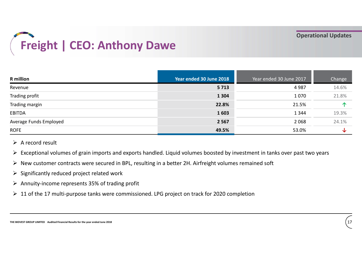

| <b>R</b> million                                                                                                                                                                                                                                                                                                                                                                                                                                                                                                                               | Year ended 30 June 2018 | Year ended 30 June 2017 | Change       |
|------------------------------------------------------------------------------------------------------------------------------------------------------------------------------------------------------------------------------------------------------------------------------------------------------------------------------------------------------------------------------------------------------------------------------------------------------------------------------------------------------------------------------------------------|-------------------------|-------------------------|--------------|
| Revenue                                                                                                                                                                                                                                                                                                                                                                                                                                                                                                                                        | 5713                    | 4987                    | 14.6%        |
| Trading profit                                                                                                                                                                                                                                                                                                                                                                                                                                                                                                                                 | 1 3 0 4                 | 1070                    | 21.8%        |
| Trading margin                                                                                                                                                                                                                                                                                                                                                                                                                                                                                                                                 | 22.8%                   | 21.5%                   | 个            |
| <b>EBITDA</b>                                                                                                                                                                                                                                                                                                                                                                                                                                                                                                                                  | 1603                    | 1 3 4 4                 | 19.3%        |
| Average Funds Employed                                                                                                                                                                                                                                                                                                                                                                                                                                                                                                                         | 2 5 6 7                 | 2 0 6 8                 | 24.1%        |
| <b>ROFE</b>                                                                                                                                                                                                                                                                                                                                                                                                                                                                                                                                    | 49.5%                   | 53.0%                   | $\downarrow$ |
| $\triangleright$ A record result<br>Exceptional volumes of grain imports and exports handled. Liquid volumes boosted by investment in tanks over past two years<br>$\triangleright$ New customer contracts were secured in BPL, resulting in a better 2H. Airfreight volumes remained soft<br>$\triangleright$ Significantly reduced project related work<br>$\triangleright$ Annuity-income represents 35% of trading profit<br>$\triangleright$ 11 of the 17 multi-purpose tanks were commissioned. LPG project on track for 2020 completion |                         |                         |              |

- $\triangleright$  A record result
- $\triangleright$  Exceptional volumes of grain imports and exports handled. Liquid volumes boosted by investment in tanks over past two years
- $\triangleright$  New customer contracts were secured in BPL, resulting in a better 2H. Airfreight volumes remained soft
- $\triangleright$  Significantly reduced project related work
- $\triangleright$  Annuity-income represents 35% of trading profit
- $\geq 11$  of the 17 multi-purpose tanks were commissioned. LPG project on track for 2020 completion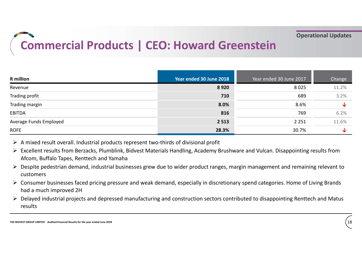# Commercial Products | CEO: Howard Greenstein

| <b>Commercial Products   CEO: Howard Greenstein</b>                                                                                                                                                                                                                                                                                                                                                                                                                                                                                                                                                       |                         |                                                                                                                                    | <b>Operational Updates</b> |
|-----------------------------------------------------------------------------------------------------------------------------------------------------------------------------------------------------------------------------------------------------------------------------------------------------------------------------------------------------------------------------------------------------------------------------------------------------------------------------------------------------------------------------------------------------------------------------------------------------------|-------------------------|------------------------------------------------------------------------------------------------------------------------------------|----------------------------|
|                                                                                                                                                                                                                                                                                                                                                                                                                                                                                                                                                                                                           |                         |                                                                                                                                    |                            |
|                                                                                                                                                                                                                                                                                                                                                                                                                                                                                                                                                                                                           |                         |                                                                                                                                    |                            |
|                                                                                                                                                                                                                                                                                                                                                                                                                                                                                                                                                                                                           |                         |                                                                                                                                    |                            |
|                                                                                                                                                                                                                                                                                                                                                                                                                                                                                                                                                                                                           |                         |                                                                                                                                    |                            |
|                                                                                                                                                                                                                                                                                                                                                                                                                                                                                                                                                                                                           |                         |                                                                                                                                    |                            |
| <b>R</b> million                                                                                                                                                                                                                                                                                                                                                                                                                                                                                                                                                                                          | Year ended 30 June 2018 | Year ended 30 June 2017                                                                                                            | Change                     |
| Revenue                                                                                                                                                                                                                                                                                                                                                                                                                                                                                                                                                                                                   | 8920                    | 8025                                                                                                                               | 11.2%                      |
| Trading profit                                                                                                                                                                                                                                                                                                                                                                                                                                                                                                                                                                                            | 710                     | 689                                                                                                                                | 3.2%                       |
| Trading margin                                                                                                                                                                                                                                                                                                                                                                                                                                                                                                                                                                                            | 8.0%                    | 8.6%                                                                                                                               | ↓                          |
| <b>EBITDA</b>                                                                                                                                                                                                                                                                                                                                                                                                                                                                                                                                                                                             | 816                     | 769                                                                                                                                | 6.2%                       |
| Average Funds Employed                                                                                                                                                                                                                                                                                                                                                                                                                                                                                                                                                                                    | 2 5 1 3                 | 2 2 5 1                                                                                                                            | 11.6%                      |
| <b>ROFE</b>                                                                                                                                                                                                                                                                                                                                                                                                                                                                                                                                                                                               | 28.3%                   | 30.7%                                                                                                                              | ↓                          |
| $\triangleright$ A mixed result overall. Industrial products represent two-thirds of divisional profit<br>▶ Excellent results from Berzacks, Plumblink, Bidvest Materials Handling, Academy Brushware and Vulcan. Disappointing results from<br>Afcom, Buffalo Tapes, Renttech and Yamaha<br>> Despite pedestrian demand, industrial businesses grew due to wider product ranges, margin management and remaining relevant to<br>customers<br>> Consumer businesses faced pricing pressure and weak demand, especially in discretionary spend categories. Home of Living Brands<br>had a much improved 2H |                         | > Delayed industrial projects and depressed manufacturing and construction sectors contributed to disappointing Renttech and Matus |                            |

- $\triangleright$  A mixed result overall. Industrial products represent two-thirds of divisional profit
- 
- $\triangleright$  Despite pedestrian demand, industrial businesses grew due to wider product ranges, margin management and remaining relevant to customers
- $\triangleright$  Consumer businesses faced pricing pressure and weak demand, especially in discretionary spend categories. Home of Living Brands had a much improved 2H
- results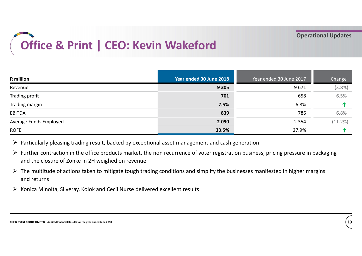# Office & Print | CEO: Kevin Wakeford

|                                                                                                                                                                                                                                                                                                                                                                                                                                                                                                                                                                               | Office & Print   CEO: Kevin Wakeford |                         | <b>Operational Updates</b> |  |
|-------------------------------------------------------------------------------------------------------------------------------------------------------------------------------------------------------------------------------------------------------------------------------------------------------------------------------------------------------------------------------------------------------------------------------------------------------------------------------------------------------------------------------------------------------------------------------|--------------------------------------|-------------------------|----------------------------|--|
| <b>R</b> million                                                                                                                                                                                                                                                                                                                                                                                                                                                                                                                                                              | Year ended 30 June 2018              | Year ended 30 June 2017 | Change                     |  |
| Revenue                                                                                                                                                                                                                                                                                                                                                                                                                                                                                                                                                                       | 9 3 0 5                              | 9671                    | $(3.8\%)$                  |  |
| Trading profit                                                                                                                                                                                                                                                                                                                                                                                                                                                                                                                                                                | 701                                  | 658                     | 6.5%                       |  |
| Trading margin                                                                                                                                                                                                                                                                                                                                                                                                                                                                                                                                                                | 7.5%                                 | 6.8%                    | 个                          |  |
| <b>EBITDA</b>                                                                                                                                                                                                                                                                                                                                                                                                                                                                                                                                                                 | 839                                  | 786                     | 6.8%                       |  |
| Average Funds Employed                                                                                                                                                                                                                                                                                                                                                                                                                                                                                                                                                        | 2 0 9 0                              | 2 3 5 4                 | (11.2%)                    |  |
| <b>ROFE</b>                                                                                                                                                                                                                                                                                                                                                                                                                                                                                                                                                                   | 33.5%                                | 27.9%                   | 个                          |  |
| $\triangleright$ Particularly pleasing trading result, backed by exceptional asset management and cash generation<br>Further contraction in the office products market, the non recurrence of voter registration business, pricing pressure in packaging<br>and the closure of Zonke in 2H weighed on revenue<br>$\triangleright$ The multitude of actions taken to mitigate tough trading conditions and simplify the businesses manifested in higher margins<br>and returns<br>$\triangleright$ Konica Minolta, Silveray, Kolok and Cecil Nurse delivered excellent results |                                      |                         |                            |  |

- $\triangleright$  Further contraction in the office products market, the non recurrence of voter registration business, pricing pressure in packaging and the closure of Zonke in 2H weighed on revenue
- $\triangleright$  The multitude of actions taken to mitigate tough trading conditions and simplify the businesses manifested in higher margins and returns
-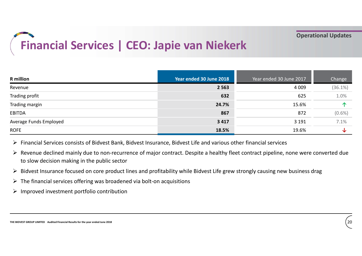# Financial Services | CEO: Japie van Niekerk

| Year ended 30 June 2018<br>Year ended 30 June 2017<br>2 5 6 3<br>4 0 0 9<br>632<br>625<br>24.7%<br>15.6%<br>867<br>872<br>3 4 1 7<br>3 1 9 1<br>18.5%<br>19.6%<br>Financial Services consists of Bidvest Bank, Bidvest Insurance, Bidvest Life and various other financial services<br>▶ Revenue declined mainly due to non-recurrence of major contract. Despite a healthy fleet contract pipeline, none were converted due<br>to slow decision making in the public sector<br>> Bidvest Insurance focused on core product lines and profitability while Bidvest Life grew strongly causing new business drag<br>$\triangleright$ The financial services offering was broadened via bolt-on acquisitions<br>$\triangleright$ Improved investment portfolio contribution | <b>Financial Services   CEO: Japie van Niekerk</b> | <b>Operational Updates</b> |  |           |
|--------------------------------------------------------------------------------------------------------------------------------------------------------------------------------------------------------------------------------------------------------------------------------------------------------------------------------------------------------------------------------------------------------------------------------------------------------------------------------------------------------------------------------------------------------------------------------------------------------------------------------------------------------------------------------------------------------------------------------------------------------------------------|----------------------------------------------------|----------------------------|--|-----------|
|                                                                                                                                                                                                                                                                                                                                                                                                                                                                                                                                                                                                                                                                                                                                                                          | <b>R</b> million                                   |                            |  | Change    |
| Trading profit<br>Trading margin<br><b>EBITDA</b><br>Average Funds Employed<br><b>ROFE</b>                                                                                                                                                                                                                                                                                                                                                                                                                                                                                                                                                                                                                                                                               | Revenue                                            |                            |  | (36.1%)   |
|                                                                                                                                                                                                                                                                                                                                                                                                                                                                                                                                                                                                                                                                                                                                                                          |                                                    |                            |  | 1.0%      |
|                                                                                                                                                                                                                                                                                                                                                                                                                                                                                                                                                                                                                                                                                                                                                                          |                                                    |                            |  | 个         |
|                                                                                                                                                                                                                                                                                                                                                                                                                                                                                                                                                                                                                                                                                                                                                                          |                                                    |                            |  | $(0.6\%)$ |
|                                                                                                                                                                                                                                                                                                                                                                                                                                                                                                                                                                                                                                                                                                                                                                          |                                                    |                            |  | 7.1%      |
|                                                                                                                                                                                                                                                                                                                                                                                                                                                                                                                                                                                                                                                                                                                                                                          |                                                    |                            |  | ↓         |
|                                                                                                                                                                                                                                                                                                                                                                                                                                                                                                                                                                                                                                                                                                                                                                          |                                                    |                            |  |           |

- $\triangleright$  Revenue declined mainly due to non-recurrence of major contract. Despite a healthy fleet contract pipeline, none were converted due to slow decision making in the public sector
- $\triangleright$  Bidvest Insurance focused on core product lines and profitability while Bidvest Life grew strongly causing new business drag
- $\triangleright$  The financial services offering was broadened via bolt-on acquisitions
- $\triangleright$  Improved investment portfolio contribution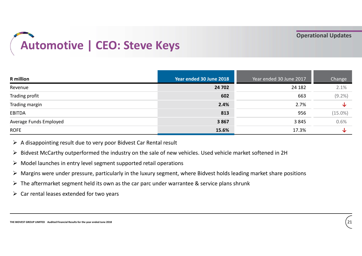# Automotive | CEO: Steve Keys

|                                                                                                                                                                                                                                                                                                                                                                                                                                                                                                                                                                                                | <b>Automotive   CEO: Steve Keys</b> |                         |            |
|------------------------------------------------------------------------------------------------------------------------------------------------------------------------------------------------------------------------------------------------------------------------------------------------------------------------------------------------------------------------------------------------------------------------------------------------------------------------------------------------------------------------------------------------------------------------------------------------|-------------------------------------|-------------------------|------------|
| <b>R</b> million                                                                                                                                                                                                                                                                                                                                                                                                                                                                                                                                                                               | Year ended 30 June 2018             | Year ended 30 June 2017 | Change     |
| Revenue                                                                                                                                                                                                                                                                                                                                                                                                                                                                                                                                                                                        | 24 702                              | 24 182                  | 2.1%       |
| Trading profit                                                                                                                                                                                                                                                                                                                                                                                                                                                                                                                                                                                 | 602                                 | 663                     | $(9.2\%)$  |
| Trading margin                                                                                                                                                                                                                                                                                                                                                                                                                                                                                                                                                                                 | 2.4%                                | 2.7%                    | ↓          |
| <b>EBITDA</b>                                                                                                                                                                                                                                                                                                                                                                                                                                                                                                                                                                                  | 813                                 | 956                     | $(15.0\%)$ |
| Average Funds Employed                                                                                                                                                                                                                                                                                                                                                                                                                                                                                                                                                                         | 3867                                | 3845                    | 0.6%       |
| <b>ROFE</b>                                                                                                                                                                                                                                                                                                                                                                                                                                                                                                                                                                                    | 15.6%                               | 17.3%                   | ↓          |
| $\triangleright$ A disappointing result due to very poor Bidvest Car Rental result<br>> Bidvest McCarthy outperformed the industry on the sale of new vehicles. Used vehicle market softened in 2H<br>$\triangleright$ Model launches in entry level segment supported retail operations<br>> Margins were under pressure, particularly in the luxury segment, where Bidvest holds leading market share positions<br>$\triangleright$ The aftermarket segment held its own as the car parc under warrantee & service plans shrunk<br>$\triangleright$ Car rental leases extended for two years |                                     |                         |            |

- $\triangleright$  A disappointing result due to very poor Bidvest Car Rental result
- ▶ Bidvest McCarthy outperformed the industry on the sale of new vehicles. Used vehicle market softened in 2H
- $\triangleright$  Model launches in entry level segment supported retail operations
- $\triangleright$  Margins were under pressure, particularly in the luxury segment, where Bidvest holds leading market share positions
- $\triangleright$  The aftermarket segment held its own as the car parc under warrantee & service plans shrunk
- $\triangleright$  Car rental leases extended for two years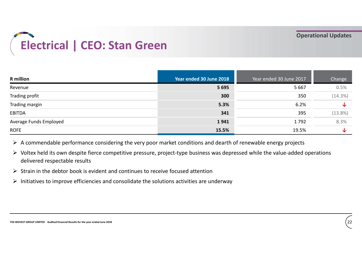

| Year ended 30 June 2018<br>Year ended 30 June 2017<br>5 6 6 7<br>5 6 9 5<br>300<br>350<br>5.3%<br>6.2%<br>341<br>395<br>1941<br>1792<br>15.5%<br>19.5%<br>$\triangleright$ A commendable performance considering the very poor market conditions and dearth of renewable energy projects<br>> Voltex held its own despite fierce competitive pressure, project-type business was depressed while the value-added operations<br>delivered respectable results<br>$\triangleright$ Strain in the debtor book is evident and continues to receive focused attention | Electrical   CEO: Stan Green |  | <b>Operational Updates</b> |
|------------------------------------------------------------------------------------------------------------------------------------------------------------------------------------------------------------------------------------------------------------------------------------------------------------------------------------------------------------------------------------------------------------------------------------------------------------------------------------------------------------------------------------------------------------------|------------------------------|--|----------------------------|
|                                                                                                                                                                                                                                                                                                                                                                                                                                                                                                                                                                  | <b>R</b> million             |  | Change                     |
| Trading profit<br>Trading margin<br><b>EBITDA</b><br>Average Funds Employed<br><b>ROFE</b>                                                                                                                                                                                                                                                                                                                                                                                                                                                                       | Revenue                      |  | 0.5%                       |
|                                                                                                                                                                                                                                                                                                                                                                                                                                                                                                                                                                  |                              |  | (14.3%)                    |
|                                                                                                                                                                                                                                                                                                                                                                                                                                                                                                                                                                  |                              |  | ↓                          |
|                                                                                                                                                                                                                                                                                                                                                                                                                                                                                                                                                                  |                              |  | (13.8%)                    |
|                                                                                                                                                                                                                                                                                                                                                                                                                                                                                                                                                                  |                              |  | 8.3%                       |
|                                                                                                                                                                                                                                                                                                                                                                                                                                                                                                                                                                  |                              |  | ↓                          |
| $\triangleright$ Initiatives to improve efficiencies and consolidate the solutions activities are underway                                                                                                                                                                                                                                                                                                                                                                                                                                                       |                              |  |                            |

- delivered respectable results
- $\triangleright$  Strain in the debtor book is evident and continues to receive focused attention
- $\triangleright$  Initiatives to improve efficiencies and consolidate the solutions activities are underway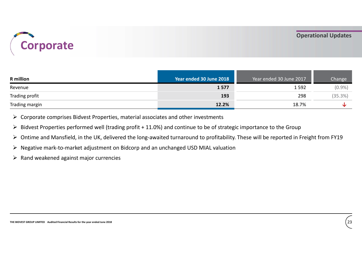

| Corporate                                                                                          |                                                                                                                                     |                         | <b>Operational Updates</b> |
|----------------------------------------------------------------------------------------------------|-------------------------------------------------------------------------------------------------------------------------------------|-------------------------|----------------------------|
| <b>R</b> million                                                                                   | Year ended 30 June 2018                                                                                                             | Year ended 30 June 2017 | Change                     |
| Revenue                                                                                            | 1577                                                                                                                                | 1592                    | $(0.9\%)$                  |
| Trading profit                                                                                     | 193                                                                                                                                 | 298                     | (35.3%)                    |
| Trading margin                                                                                     | 12.2%                                                                                                                               | 18.7%                   | ↓                          |
| $\triangleright$ Corporate comprises Bidvest Properties, material associates and other investments | $\triangleright$ Bidvest Properties performed well (trading profit + 11.0%) and continue to be of strategic importance to the Group |                         |                            |

 $\triangleright$  Corporate comprises Bidvest Properties, material associates and other investments<br>  $\triangleright$  Bidvest Properties performed well (trading profit + 11.0%) and continue to be of strategic importance to the Group<br>  $\triangleright$  Ontime and Mansfield, in the UK, delivered the long-awaited turnaround to profitability. These will be reported in Freight from FY19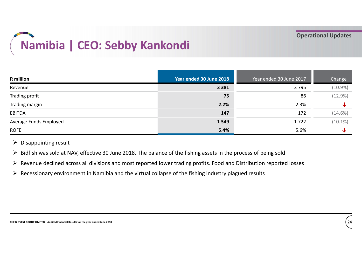# Namibia | CEO: Sebby Kankondi<br>
Searended 30 June 2018<br>
Near ended 30 June 2018

| Year ended 30 June 2018<br>Year ended 30 June 2017<br><b>R</b> million<br>3795<br>3 3 8 1<br>75<br>86                                                                                                                                                                                                                                                                                                         | Change       |
|---------------------------------------------------------------------------------------------------------------------------------------------------------------------------------------------------------------------------------------------------------------------------------------------------------------------------------------------------------------------------------------------------------------|--------------|
| Revenue                                                                                                                                                                                                                                                                                                                                                                                                       |              |
| Trading profit                                                                                                                                                                                                                                                                                                                                                                                                | $(10.9\%)$   |
|                                                                                                                                                                                                                                                                                                                                                                                                               | (12.9%)      |
| 2.2%<br>Trading margin<br>2.3%                                                                                                                                                                                                                                                                                                                                                                                | ↓            |
| 147<br><b>EBITDA</b><br>172                                                                                                                                                                                                                                                                                                                                                                                   | $(14.6\%)$   |
| Average Funds Employed<br>1549<br>1722                                                                                                                                                                                                                                                                                                                                                                        | $(10.1\%)$   |
| 5.4%<br><b>ROFE</b><br>5.6%                                                                                                                                                                                                                                                                                                                                                                                   | $\downarrow$ |
| $\triangleright$ Disappointing result<br>> Bidfish was sold at NAV, effective 30 June 2018. The balance of the fishing assets in the process of being sold<br>▶ Revenue declined across all divisions and most reported lower trading profits. Food and Distribution reported losses<br>$\triangleright$ Recessionary environment in Namibia and the virtual collapse of the fishing industry plagued results |              |

- 
- $\triangleright$  Revenue declined across all divisions and most reported lower trading profits. Food and Distribution reported losses
- $\triangleright$  Recessionary environment in Namibia and the virtual collapse of the fishing industry plagued results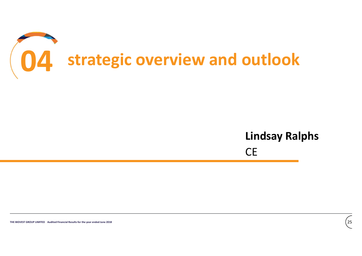

# $\overline{CE}$ Lindsay Ralphs

CE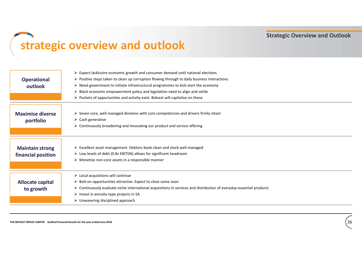Strategic Overview and Outlook

## strategic overview and outlook

|                                                                                  | $\triangleright$ Expect lacklustre economic growth and consumer demand until national elections                      |
|----------------------------------------------------------------------------------|----------------------------------------------------------------------------------------------------------------------|
| <b>Operational</b>                                                               | $\triangleright$ Positive steps taken to clean up corruption flowing through to daily business interactions          |
| outlook                                                                          | > Need government to initiate infrastructural programmes to kick-start the economy                                   |
|                                                                                  | $\triangleright$ Black economic empowerment policy and legislation need to align and settle                          |
|                                                                                  | $\triangleright$ Pockets of opportunities and activity exist. Bidvest will capitalise on these                       |
|                                                                                  |                                                                                                                      |
| <b>Maximise diverse</b>                                                          | > Seven core, well managed divisions with core competencies and drivers firmly intact                                |
| portfolio                                                                        | $\triangleright$ Cash generative                                                                                     |
|                                                                                  | $\triangleright$ Continuously broadening and innovating our product and service offering                             |
|                                                                                  |                                                                                                                      |
|                                                                                  |                                                                                                                      |
| <b>Maintain strong</b>                                                           | > Excellent asset management. Debtors book clean and stock well managed                                              |
|                                                                                  | > Low levels of debt (0.8x EBITDA) allows for significant headroom                                                   |
| financial position                                                               | $\triangleright$ Monetise non-core assets in a responsible manner                                                    |
|                                                                                  |                                                                                                                      |
|                                                                                  | $\triangleright$ Local acquisitions will continue                                                                    |
| <b>Allocate capital</b>                                                          | > Bolt-on opportunities attractive. Expect to close some soon                                                        |
| to growth                                                                        | > Continuously evaluate niche international acquisitions in services and distribution of everyday-essential products |
|                                                                                  | $\triangleright$ Invest in annuity-type projects in SA                                                               |
|                                                                                  | $\triangleright$ Unwavering disciplined approach                                                                     |
|                                                                                  |                                                                                                                      |
|                                                                                  |                                                                                                                      |
| THE BIDVEST GROUP LIMITED Audited Financial Results for the year ended June 2018 | 26                                                                                                                   |
|                                                                                  |                                                                                                                      |
|                                                                                  |                                                                                                                      |
|                                                                                  |                                                                                                                      |
|                                                                                  |                                                                                                                      |
|                                                                                  |                                                                                                                      |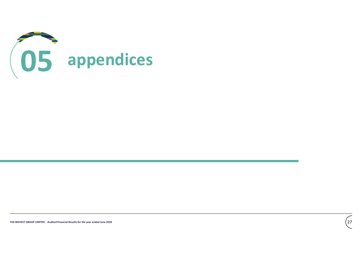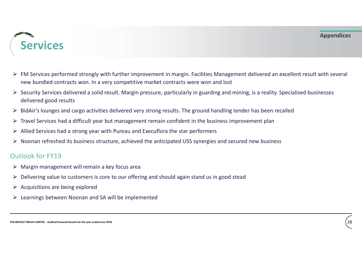### Appendices



- $\triangleright$  FM Services performed strongly with further improvement in margin. Facilities Management delivered an excellent result with several new bundled contracts won. In a very competitive market contracts were won and lost Services<br>
BidAir's performed strongly with further improvement in margin. Facilities Management delivered an excellent result with several<br>
The mew bundled contracts won. In a very competitive market contracts were won an
- $\triangleright$  Security Services delivered a solid result. Margin pressure, particularly in guarding and mining, is a reality. Specialised businesses delivered good results FORT WICH S<br>
Allied Services performed strongly with further improvement in margin. Facilities Management delivered an excellent res<br>
Allied Services delivered a solid result. Margin pressure, particularly in guarding and
- 
- $\triangleright$  Travel Services had a difficult year but management remain confident in the business improvement plan
- 
- Travel Services had a difficult year but management remain confident in the business improvement plan<br>  $\triangleright$  Allied Services had a strong year with Pureau and Executions the star performers<br>  $\triangleright$  Noonan refreshed its b Noonan refreshed its business structure, achieved the anticipated USS synergies and secured new business

- $\triangleright$  Margin management will remain a key focus area
- $\triangleright$  Delivering value to customers is core to our offering and should again stand us in good stead
- $\triangleright$  Acquisitions are being explored
- $\triangleright$  Learnings between Noonan and SA will be implemented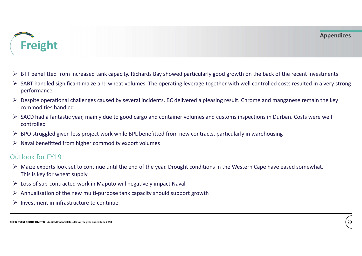

- $\triangleright$  BTT benefitted from increased tank capacity. Richards Bay showed particularly good growth on the back of the recent investments
- SABT handled significant maize and wheat volumes. The operating leverage together with well controlled costs resulted in a very strong performance
- $\triangleright$  Despite operational challenges caused by several incidents, BC delivered a pleasing result. Chrome and manganese remain the key commodities handled
- $\triangleright$  SACD had a fantastic year, mainly due to good cargo and container volumes and customs inspections in Durban. Costs were well controlled
- $\triangleright$  BPO struggled given less project work while BPL benefitted from new contracts, particularly in warehousing
- $\triangleright$  Naval benefitted from higher commodity export volumes

- > SACD had a fantastic year, mainly due to good cargo and container volumes and customs inspections in Durban. Costs were well<br>
controlled<br>
> BPO struggled given less project work while BPL benefitted from new contracts,  $\triangleright$  Maize exports look set to continue until the end of the year. Drought conditions in the Western Cape have eased somewhat. This is key for wheat supply **Example 12**<br>
Annualisation of the new multi-purpose tank capacity should support growth<br>  $\triangleright$  Despite operational challenges caused by several incidents, BC delivered a pleasing result. Chrome and ma<br>  $\cdot$  SACD had a f
- $\triangleright$  Loss of sub-contracted work in Maputo will negatively impact Naval
- 
- $\triangleright$  Investment in infrastructure to continue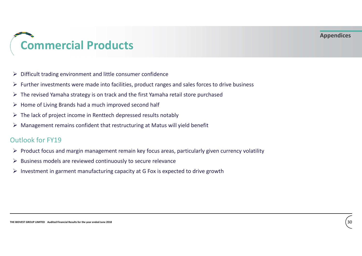### Appendices

# Commercial Products \n<p><b>Comment of the image</b></p>\n<p>• Different trading environment and little consumer confidence</p>\n<p>▶ Further investments were made into facilities, product ranges and sales forces to drive business</p>\n<p>▶ The revised Yamaha strategy is on track and the first Yamaha retail store purchased</p>\n<p>▶ Home of Living Brands had a much improved second half</p>\n<p>▶ The lack of project income in Renttech depressed results notably</p>\n<p>▶ Management remains confident that restricting at Matus will yield benefit</p>\n<p>Outlook for FY19</p> Management remains and little consumer confidence <br>
Management and little consumer confidence <br>
Management remains were made into facilities, product ranges and sales forces to drive business<br>
Norme of Living Brands had a

- $\triangleright$  Difficult trading environment and little consumer confidence
- $\triangleright$  Further investments were made into facilities, product ranges and sales forces to drive business
- $\triangleright$  The revised Yamaha strategy is on track and the first Yamaha retail store purchased
- $\triangleright$  Home of Living Brands had a much improved second half
- 
- 

- The lack of project income in Renttech depressed results notably<br>  $\geq$  Management remains confident that restructuring at Matus will yield benefit<br>  $\geq$  Droduct focus and margin management remain key focus areas, partic  $\triangleright$  Product focus and margin management remain key focus areas, particularly given currency volatility
- $\triangleright$  Business models are reviewed continuously to secure relevance
- $\triangleright$  Investment in garment manufacturing capacity at G Fox is expected to drive growth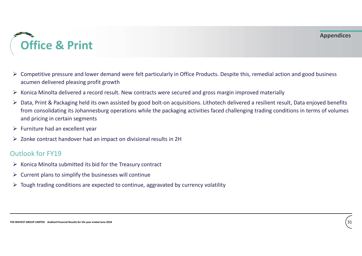

- $\triangleright$  Competitive pressure and lower demand were felt particularly in Office Products. Despite this, remedial action and good business acumen delivered pleasing profit growth
- $\triangleright$  Konica Minolta delivered a record result. New contracts were secured and gross margin improved materially
- and pricing in certain segments<br>  $\triangleright$  Furniture had an excellent year<br>  $\triangleright$  Zonke contract handover had an impact on divisional results in 2H<br>  $\triangleright$  Contract Minolta submitted its bid for the Treasury contract<br>  $\triangleright$ → **Drint**<br>
→ **Competitive** pressure and lower demand were felt particularly in Office Products. Despite this, remedial action and good business<br>
acumen delivered pleasing profit growth<br>
→ Konica Minolta delivered a record from consolidating its Johannesburg operations while the packaging activities faced challenging trading conditions in terms of volumes and pricing in certain segments
- $\triangleright$  Furniture had an excellent year
- $\triangleright$  Zonke contract handover had an impact on divisional results in 2H

- $\triangleright$  Konica Minolta submitted its bid for the Treasury contract
- $\triangleright$  Current plans to simplify the businesses will continue
- $\triangleright$  Tough trading conditions are expected to continue, aggravated by currency volatility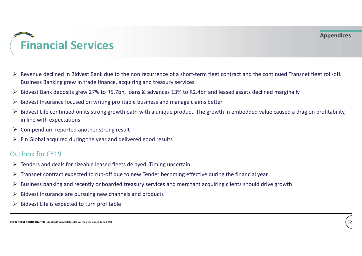

- $\triangleright$  Revenue declined in Bidvest Bank due to the non recurrence of a short-term fleet contract and the continued Transnet fleet roll-off. Business Banking grew in trade finance, acquiring and treasury services
- $\triangleright$  Bidvest Bank deposits grew 27% to R5.7bn, loans & advances 13% to R2.4bn and leased assets declined marginally
- $\triangleright$  Bidvest Insurance focused on writing profitable business and manage claims better
- The BIDVEST GROUP CONTROLL AS A SURFACE CONTROLL AND SURFACE CONTROLLED AND PROVIDED AS A SURFACE OF THE GROUP ON  $\geq$  The Group of the year and delivered good results  $\geq$  The Group of the year and delivered good resul  $\triangleright$  Bidvest Life continued on its strong growth path with a unique product. The growth in embedded value caused a drag on profitability, in line with expectations
- $\triangleright$  Compendium reported another strong result
- $\triangleright$  Fin Global acquired during the year and delivered good results

- $\triangleright$  Tenders and deals for sizeable leased fleets delayed. Timing uncertain
- $\triangleright$  Transnet contract expected to run-off due to new Tender becoming effective during the financial year
- Business banking and recently onboarded treasury services and merchant acquiring clients should drive growth
- $\triangleright$  Bidvest Insurance are pursuing new channels and products
- $\triangleright$  Bidvest Life is expected to turn profitable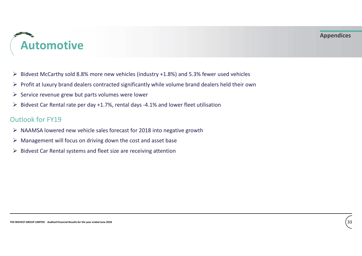

# Automotive

- $\triangleright$  Bidvest McCarthy sold 8.8% more new vehicles (industry +1.8%) and 5.3% fewer used vehicles
- $\triangleright$  Profit at luxury brand dealers contracted significantly while volume brand dealers held their own
- $\triangleright$  Service revenue grew but parts volumes were lower
- $\triangleright$  Bidvest Car Rental rate per day +1.7%, rental days -4.1% and lower fleet utilisation

- Out look for FY19<br>  $\triangleright$  NAAMSA lowered new vehicle sales forecast for 2018 into negative growth<br>  $\triangleright$  Management will focus on driving down the cost and asset base<br>  $\triangleright$  Bidvest Car Rental systems and fleet size are  $\triangleright$  NAAMSA lowered new vehicle sales forecast for 2018 into negative growth
- $\triangleright$  Management will focus on driving down the cost and asset base
- $\triangleright$  Bidvest Car Rental systems and fleet size are receiving attention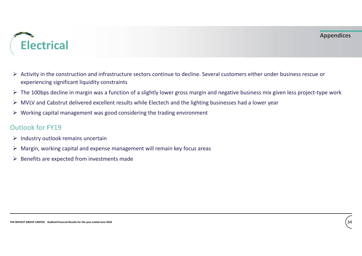### Appendices



- $\triangleright$  Activity in the construction and infrastructure sectors continue to decline. Several customers either under business rescue or experiencing significant liquidity constraints MULT ANTIFICAL<br>
■<br>
■<br>
MULT A Activity in the construction and infrastructure sectors continue to decline. Several customers either under business rescue or<br>
seperiencing significant liquidity constraints<br>
■ The 100bps dec
- $\triangleright$  The 100bps decline in margin was a function of a slightly lower gross margin and negative business mix given less project-type work
- 
- $\triangleright$  Working capital management was good considering the trading environment

- $\triangleright$  Industry outlook remains uncertain
- V volving capital numigement was good considering the crading environment<br>  $\geq$  Matstry outflook for FY19<br>  $\geq$  Matstry outflook remains uncertain<br>  $\geq$  Renefits are expected from investments made<br>  $\geq$  Renefits are e  $\triangleright$  Margin, working capital and expense management will remain key focus areas
- $\triangleright$  Benefits are expected from investments made